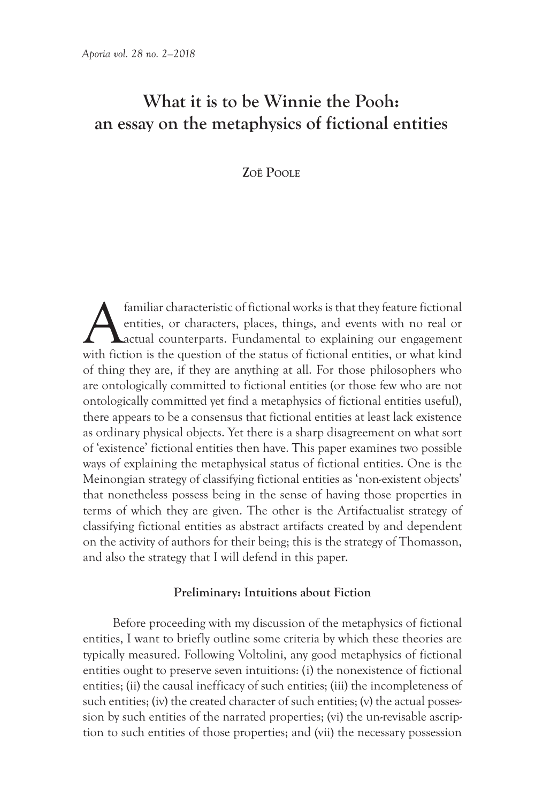# **What it is to be Winnie the Pooh: an essay on the metaphysics of fictional entities**

## **ZoË Poole**

familiar characteristic of fictional works is that they feature fictional entities, or characters, places, things, and events with no real or **L**actual counterparts. Fundamental to explaining our engagement with fiction is the question of the status of fictional entities, or what kind of thing they are, if they are anything at all. For those philosophers who are ontologically committed to fictional entities (or those few who are not ontologically committed yet find a metaphysics of fictional entities useful), there appears to be a consensus that fictional entities at least lack existence as ordinary physical objects. Yet there is a sharp disagreement on what sort of 'existence' fictional entities then have. This paper examines two possible ways of explaining the metaphysical status of fictional entities. One is the Meinongian strategy of classifying fictional entities as 'non-existent objects' that nonetheless possess being in the sense of having those properties in terms of which they are given. The other is the Artifactualist strategy of classifying fictional entities as abstract artifacts created by and dependent on the activity of authors for their being; this is the strategy of Thomasson, and also the strategy that I will defend in this paper.

### **Preliminary: Intuitions about Fiction**

Before proceeding with my discussion of the metaphysics of fictional entities, I want to briefly outline some criteria by which these theories are typically measured. Following Voltolini, any good metaphysics of fictional entities ought to preserve seven intuitions: (i) the nonexistence of fictional entities; (ii) the causal inefficacy of such entities; (iii) the incompleteness of such entities; (iv) the created character of such entities; (v) the actual possession by such entities of the narrated properties; (vi) the un-revisable ascription to such entities of those properties; and (vii) the necessary possession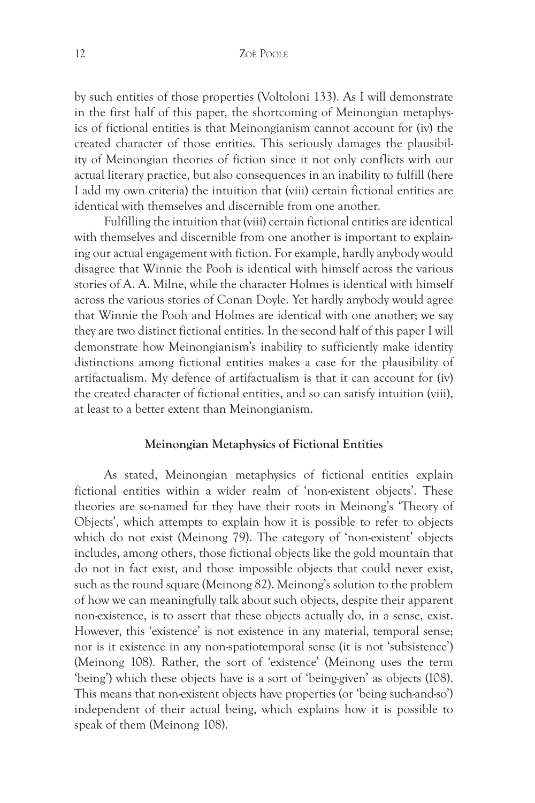by such entities of those properties (Voltoloni 133). As I will demonstrate in the first half of this paper, the shortcoming of Meinongian metaphysics of fictional entities is that Meinongianism cannot account for (iv) the created character of those entities. This seriously damages the plausibility of Meinongian theories of fiction since it not only conflicts with our actual literary practice, but also consequences in an inability to fulfill (here I add my own criteria) the intuition that (viii) certain fictional entities are identical with themselves and discernible from one another.

Fulfilling the intuition that (viii) certain fictional entities are identical with themselves and discernible from one another is important to explaining our actual engagement with fiction. For example, hardly anybody would disagree that Winnie the Pooh is identical with himself across the various stories of A. A. Milne, while the character Holmes is identical with himself across the various stories of Conan Doyle. Yet hardly anybody would agree that Winnie the Pooh and Holmes are identical with one another; we say they are two distinct fictional entities. In the second half of this paper I will demonstrate how Meinongianism's inability to sufficiently make identity distinctions among fictional entities makes a case for the plausibility of artifactualism. My defence of artifactualism is that it can account for (iv) the created character of fictional entities, and so can satisfy intuition (viii), at least to a better extent than Meinongianism.

#### **Meinongian Metaphysics of Fictional Entities**

As stated, Meinongian metaphysics of fictional entities explain fictional entities within a wider realm of 'non-existent objects'. These theories are so-named for they have their roots in Meinong's 'Theory of Objects', which attempts to explain how it is possible to refer to objects which do not exist (Meinong 79). The category of 'non-existent' objects includes, among others, those fictional objects like the gold mountain that do not in fact exist, and those impossible objects that could never exist, such as the round square (Meinong 82). Meinong's solution to the problem of how we can meaningfully talk about such objects, despite their apparent non-existence, is to assert that these objects actually do, in a sense, exist. However, this 'existence' is not existence in any material, temporal sense; nor is it existence in any non-spatiotemporal sense (it is not 'subsistence') (Meinong 108). Rather, the sort of 'existence' (Meinong uses the term 'being') which these objects have is a sort of 'being-given' as objects (108). This means that non-existent objects have properties (or 'being such-and-so') independent of their actual being, which explains how it is possible to speak of them (Meinong 108).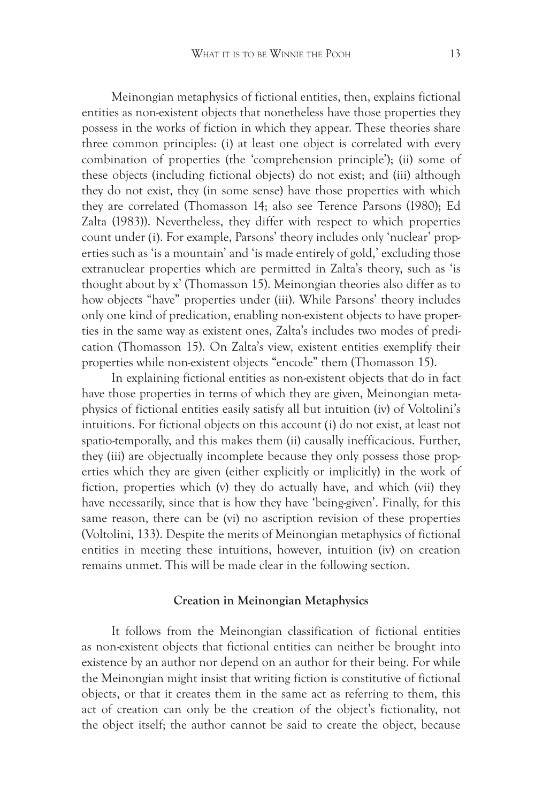Meinongian metaphysics of fictional entities, then, explains fictional entities as non-existent objects that nonetheless have those properties they possess in the works of fiction in which they appear. These theories share three common principles: (i) at least one object is correlated with every combination of properties (the 'comprehension principle'); (ii) some of these objects (including fictional objects) do not exist; and (iii) although they do not exist, they (in some sense) have those properties with which they are correlated (Thomasson 14; also see Terence Parsons (1980); Ed Zalta (1983)). Nevertheless, they differ with respect to which properties count under (i). For example, Parsons' theory includes only 'nuclear' properties such as 'is a mountain' and 'is made entirely of gold,' excluding those extranuclear properties which are permitted in Zalta's theory, such as 'is thought about by x' (Thomasson 15). Meinongian theories also differ as to how objects "have" properties under (iii). While Parsons' theory includes only one kind of predication, enabling non-existent objects to have properties in the same way as existent ones, Zalta's includes two modes of predication (Thomasson 15). On Zalta's view, existent entities exemplify their properties while non-existent objects "encode" them (Thomasson 15).

In explaining fictional entities as non-existent objects that do in fact have those properties in terms of which they are given, Meinongian metaphysics of fictional entities easily satisfy all but intuition (iv) of Voltolini's intuitions. For fictional objects on this account (i) do not exist, at least not spatio-temporally, and this makes them (ii) causally inefficacious. Further, they (iii) are objectually incomplete because they only possess those properties which they are given (either explicitly or implicitly) in the work of fiction, properties which (v) they do actually have, and which (vii) they have necessarily, since that is how they have 'being-given'. Finally, for this same reason, there can be (vi) no ascription revision of these properties (Voltolini, 133). Despite the merits of Meinongian metaphysics of fictional entities in meeting these intuitions, however, intuition (iv) on creation remains unmet. This will be made clear in the following section.

#### **Creation in Meinongian Metaphysics**

It follows from the Meinongian classification of fictional entities as non-existent objects that fictional entities can neither be brought into existence by an author nor depend on an author for their being. For while the Meinongian might insist that writing fiction is constitutive of fictional objects, or that it creates them in the same act as referring to them, this act of creation can only be the creation of the object's fictionality, not the object itself; the author cannot be said to create the object, because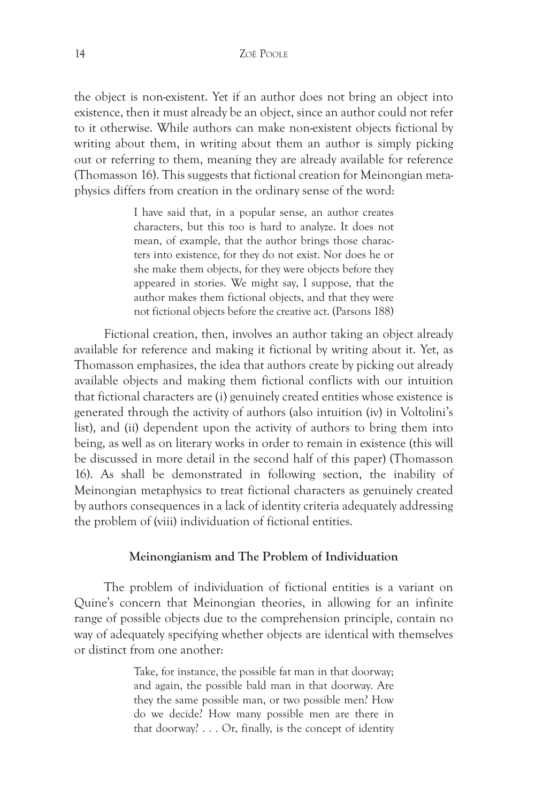the object is non-existent. Yet if an author does not bring an object into existence, then it must already be an object, since an author could not refer to it otherwise. While authors can make non-existent objects fictional by writing about them, in writing about them an author is simply picking out or referring to them, meaning they are already available for reference (Thomasson 16). This suggests that fictional creation for Meinongian metaphysics differs from creation in the ordinary sense of the word:

> I have said that, in a popular sense, an author creates characters, but this too is hard to analyze. It does not mean, of example, that the author brings those characters into existence, for they do not exist. Nor does he or she make them objects, for they were objects before they appeared in stories. We might say, I suppose, that the author makes them fictional objects, and that they were not fictional objects before the creative act. (Parsons 188)

Fictional creation, then, involves an author taking an object already available for reference and making it fictional by writing about it. Yet, as Thomasson emphasizes, the idea that authors create by picking out already available objects and making them fictional conflicts with our intuition that fictional characters are (i) genuinely created entities whose existence is generated through the activity of authors (also intuition (iv) in Voltolini's list), and (ii) dependent upon the activity of authors to bring them into being, as well as on literary works in order to remain in existence (this will be discussed in more detail in the second half of this paper) (Thomasson 16). As shall be demonstrated in following section, the inability of Meinongian metaphysics to treat fictional characters as genuinely created by authors consequences in a lack of identity criteria adequately addressing the problem of (viii) individuation of fictional entities.

#### **Meinongianism and The Problem of Individuation**

The problem of individuation of fictional entities is a variant on Quine's concern that Meinongian theories, in allowing for an infinite range of possible objects due to the comprehension principle, contain no way of adequately specifying whether objects are identical with themselves or distinct from one another:

> Take, for instance, the possible fat man in that doorway; and again, the possible bald man in that doorway. Are they the same possible man, or two possible men? How do we decide? How many possible men are there in that doorway? . . . Or, finally, is the concept of identity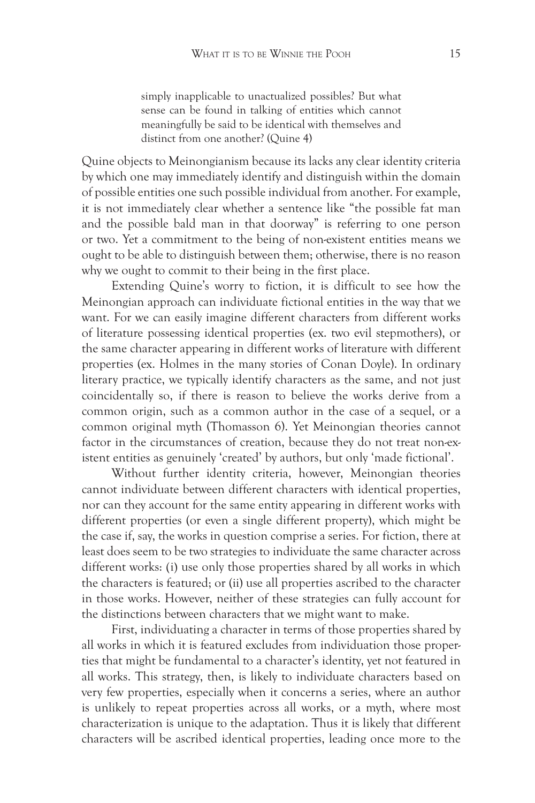simply inapplicable to unactualized possibles? But what sense can be found in talking of entities which cannot meaningfully be said to be identical with themselves and distinct from one another? (Quine 4)

Quine objects to Meinongianism because its lacks any clear identity criteria by which one may immediately identify and distinguish within the domain of possible entities one such possible individual from another. For example, it is not immediately clear whether a sentence like "the possible fat man and the possible bald man in that doorway" is referring to one person or two. Yet a commitment to the being of non-existent entities means we ought to be able to distinguish between them; otherwise, there is no reason why we ought to commit to their being in the first place.

Extending Quine's worry to fiction, it is difficult to see how the Meinongian approach can individuate fictional entities in the way that we want. For we can easily imagine different characters from different works of literature possessing identical properties (ex. two evil stepmothers), or the same character appearing in different works of literature with different properties (ex. Holmes in the many stories of Conan Doyle). In ordinary literary practice, we typically identify characters as the same, and not just coincidentally so, if there is reason to believe the works derive from a common origin, such as a common author in the case of a sequel, or a common original myth (Thomasson 6). Yet Meinongian theories cannot factor in the circumstances of creation, because they do not treat non-existent entities as genuinely 'created' by authors, but only 'made fictional'.

Without further identity criteria, however, Meinongian theories cannot individuate between different characters with identical properties, nor can they account for the same entity appearing in different works with different properties (or even a single different property), which might be the case if, say, the works in question comprise a series. For fiction, there at least does seem to be two strategies to individuate the same character across different works: (i) use only those properties shared by all works in which the characters is featured; or (ii) use all properties ascribed to the character in those works. However, neither of these strategies can fully account for the distinctions between characters that we might want to make.

First, individuating a character in terms of those properties shared by all works in which it is featured excludes from individuation those properties that might be fundamental to a character's identity, yet not featured in all works. This strategy, then, is likely to individuate characters based on very few properties, especially when it concerns a series, where an author is unlikely to repeat properties across all works, or a myth, where most characterization is unique to the adaptation. Thus it is likely that different characters will be ascribed identical properties, leading once more to the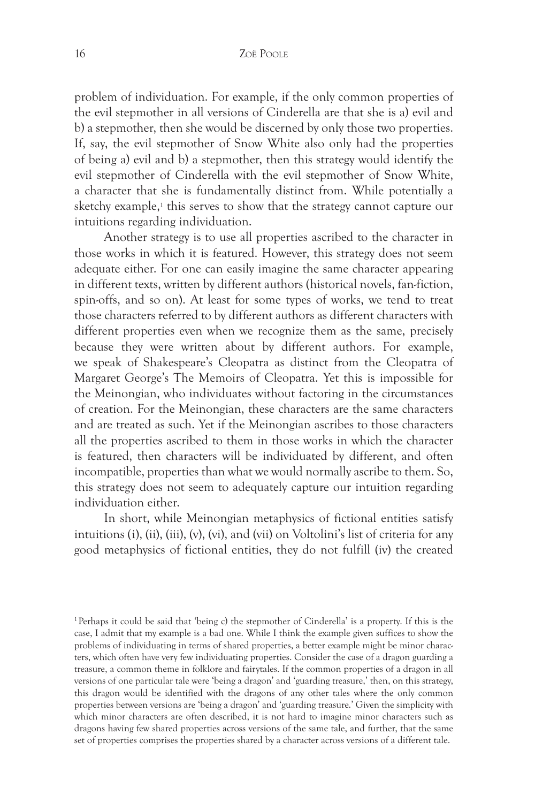problem of individuation. For example, if the only common properties of the evil stepmother in all versions of Cinderella are that she is a) evil and b) a stepmother, then she would be discerned by only those two properties. If, say, the evil stepmother of Snow White also only had the properties of being a) evil and b) a stepmother, then this strategy would identify the evil stepmother of Cinderella with the evil stepmother of Snow White, a character that she is fundamentally distinct from. While potentially a sketchy example,<sup>1</sup> this serves to show that the strategy cannot capture our intuitions regarding individuation.

Another strategy is to use all properties ascribed to the character in those works in which it is featured. However, this strategy does not seem adequate either. For one can easily imagine the same character appearing in different texts, written by different authors (historical novels, fan-fiction, spin-offs, and so on). At least for some types of works, we tend to treat those characters referred to by different authors as different characters with different properties even when we recognize them as the same, precisely because they were written about by different authors. For example, we speak of Shakespeare's Cleopatra as distinct from the Cleopatra of Margaret George's The Memoirs of Cleopatra. Yet this is impossible for the Meinongian, who individuates without factoring in the circumstances of creation. For the Meinongian, these characters are the same characters and are treated as such. Yet if the Meinongian ascribes to those characters all the properties ascribed to them in those works in which the character is featured, then characters will be individuated by different, and often incompatible, properties than what we would normally ascribe to them. So, this strategy does not seem to adequately capture our intuition regarding individuation either.

In short, while Meinongian metaphysics of fictional entities satisfy intuitions (i), (ii), (iii), (v), (vi), and (vii) on Voltolini's list of criteria for any good metaphysics of fictional entities, they do not fulfill (iv) the created

<sup>1</sup>Perhaps it could be said that 'being c) the stepmother of Cinderella' is a property. If this is the case, I admit that my example is a bad one. While I think the example given suffices to show the problems of individuating in terms of shared properties, a better example might be minor characters, which often have very few individuating properties. Consider the case of a dragon guarding a treasure, a common theme in folklore and fairytales. If the common properties of a dragon in all versions of one particular tale were 'being a dragon' and 'guarding treasure,' then, on this strategy, this dragon would be identified with the dragons of any other tales where the only common properties between versions are 'being a dragon' and 'guarding treasure.' Given the simplicity with which minor characters are often described, it is not hard to imagine minor characters such as dragons having few shared properties across versions of the same tale, and further, that the same set of properties comprises the properties shared by a character across versions of a different tale.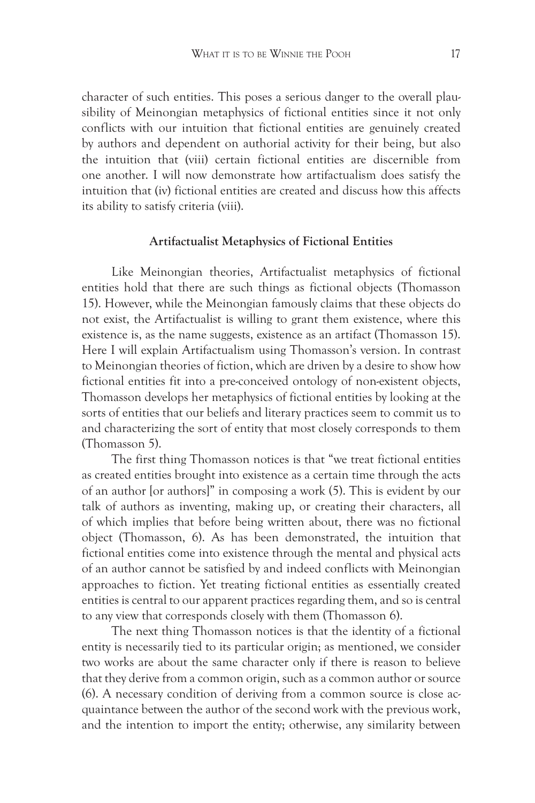character of such entities. This poses a serious danger to the overall plausibility of Meinongian metaphysics of fictional entities since it not only conflicts with our intuition that fictional entities are genuinely created by authors and dependent on authorial activity for their being, but also the intuition that (viii) certain fictional entities are discernible from one another. I will now demonstrate how artifactualism does satisfy the intuition that (iv) fictional entities are created and discuss how this affects its ability to satisfy criteria (viii).

#### **Artifactualist Metaphysics of Fictional Entities**

Like Meinongian theories, Artifactualist metaphysics of fictional entities hold that there are such things as fictional objects (Thomasson 15). However, while the Meinongian famously claims that these objects do not exist, the Artifactualist is willing to grant them existence, where this existence is, as the name suggests, existence as an artifact (Thomasson 15). Here I will explain Artifactualism using Thomasson's version. In contrast to Meinongian theories of fiction, which are driven by a desire to show how fictional entities fit into a pre-conceived ontology of non-existent objects, Thomasson develops her metaphysics of fictional entities by looking at the sorts of entities that our beliefs and literary practices seem to commit us to and characterizing the sort of entity that most closely corresponds to them (Thomasson 5).

The first thing Thomasson notices is that "we treat fictional entities as created entities brought into existence as a certain time through the acts of an author [or authors]" in composing a work (5). This is evident by our talk of authors as inventing, making up, or creating their characters, all of which implies that before being written about, there was no fictional object (Thomasson, 6). As has been demonstrated, the intuition that fictional entities come into existence through the mental and physical acts of an author cannot be satisfied by and indeed conflicts with Meinongian approaches to fiction. Yet treating fictional entities as essentially created entities is central to our apparent practices regarding them, and so is central to any view that corresponds closely with them (Thomasson 6).

The next thing Thomasson notices is that the identity of a fictional entity is necessarily tied to its particular origin; as mentioned, we consider two works are about the same character only if there is reason to believe that they derive from a common origin, such as a common author or source (6). A necessary condition of deriving from a common source is close acquaintance between the author of the second work with the previous work, and the intention to import the entity; otherwise, any similarity between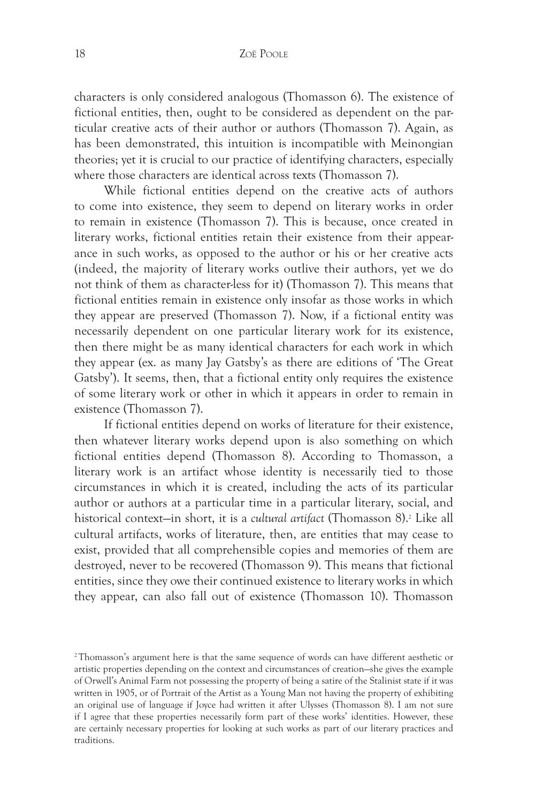characters is only considered analogous (Thomasson 6). The existence of fictional entities, then, ought to be considered as dependent on the particular creative acts of their author or authors (Thomasson 7). Again, as has been demonstrated, this intuition is incompatible with Meinongian theories; yet it is crucial to our practice of identifying characters, especially where those characters are identical across texts (Thomasson 7).

While fictional entities depend on the creative acts of authors to come into existence, they seem to depend on literary works in order to remain in existence (Thomasson 7). This is because, once created in literary works, fictional entities retain their existence from their appearance in such works, as opposed to the author or his or her creative acts (indeed, the majority of literary works outlive their authors, yet we do not think of them as character-less for it) (Thomasson 7). This means that fictional entities remain in existence only insofar as those works in which they appear are preserved (Thomasson 7). Now, if a fictional entity was necessarily dependent on one particular literary work for its existence, then there might be as many identical characters for each work in which they appear (ex. as many Jay Gatsby's as there are editions of 'The Great Gatsby'). It seems, then, that a fictional entity only requires the existence of some literary work or other in which it appears in order to remain in existence (Thomasson 7).

If fictional entities depend on works of literature for their existence, then whatever literary works depend upon is also something on which fictional entities depend (Thomasson 8). According to Thomasson, a literary work is an artifact whose identity is necessarily tied to those circumstances in which it is created, including the acts of its particular author or authors at a particular time in a particular literary, social, and historical context—in short, it is a *cultural artifact* (Thomasson 8).2 Like all cultural artifacts, works of literature, then, are entities that may cease to exist, provided that all comprehensible copies and memories of them are destroyed, never to be recovered (Thomasson 9). This means that fictional entities, since they owe their continued existence to literary works in which they appear, can also fall out of existence (Thomasson 10). Thomasson

<sup>2</sup>Thomasson's argument here is that the same sequence of words can have different aesthetic or artistic properties depending on the context and circumstances of creation—she gives the example of Orwell's Animal Farm not possessing the property of being a satire of the Stalinist state if it was written in 1905, or of Portrait of the Artist as a Young Man not having the property of exhibiting an original use of language if Joyce had written it after Ulysses (Thomasson 8). I am not sure if I agree that these properties necessarily form part of these works' identities. However, these are certainly necessary properties for looking at such works as part of our literary practices and traditions.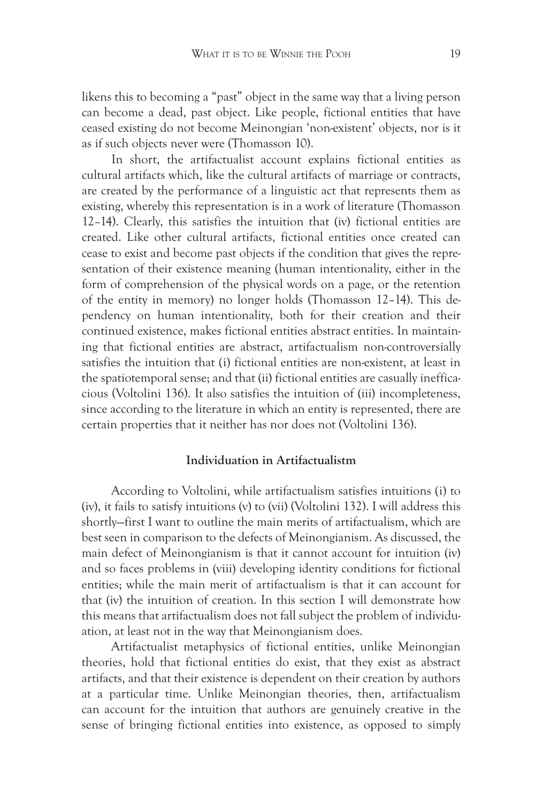likens this to becoming a "past" object in the same way that a living person can become a dead, past object. Like people, fictional entities that have ceased existing do not become Meinongian 'non-existent' objects, nor is it as if such objects never were (Thomasson 10).

In short, the artifactualist account explains fictional entities as cultural artifacts which, like the cultural artifacts of marriage or contracts, are created by the performance of a linguistic act that represents them as existing, whereby this representation is in a work of literature (Thomasson 12–14). Clearly, this satisfies the intuition that (iv) fictional entities are created. Like other cultural artifacts, fictional entities once created can cease to exist and become past objects if the condition that gives the representation of their existence meaning (human intentionality, either in the form of comprehension of the physical words on a page, or the retention of the entity in memory) no longer holds (Thomasson 12–14). This dependency on human intentionality, both for their creation and their continued existence, makes fictional entities abstract entities. In maintaining that fictional entities are abstract, artifactualism non-controversially satisfies the intuition that (i) fictional entities are non-existent, at least in the spatiotemporal sense; and that (ii) fictional entities are casually inefficacious (Voltolini 136). It also satisfies the intuition of (iii) incompleteness, since according to the literature in which an entity is represented, there are certain properties that it neither has nor does not (Voltolini 136).

## **Individuation in Artifactualistm**

According to Voltolini, while artifactualism satisfies intuitions (i) to (iv), it fails to satisfy intuitions (v) to (vii) (Voltolini 132). I will address this shortly—first I want to outline the main merits of artifactualism, which are best seen in comparison to the defects of Meinongianism. As discussed, the main defect of Meinongianism is that it cannot account for intuition (iv) and so faces problems in (viii) developing identity conditions for fictional entities; while the main merit of artifactualism is that it can account for that (iv) the intuition of creation. In this section I will demonstrate how this means that artifactualism does not fall subject the problem of individuation, at least not in the way that Meinongianism does.

Artifactualist metaphysics of fictional entities, unlike Meinongian theories, hold that fictional entities do exist, that they exist as abstract artifacts, and that their existence is dependent on their creation by authors at a particular time. Unlike Meinongian theories, then, artifactualism can account for the intuition that authors are genuinely creative in the sense of bringing fictional entities into existence, as opposed to simply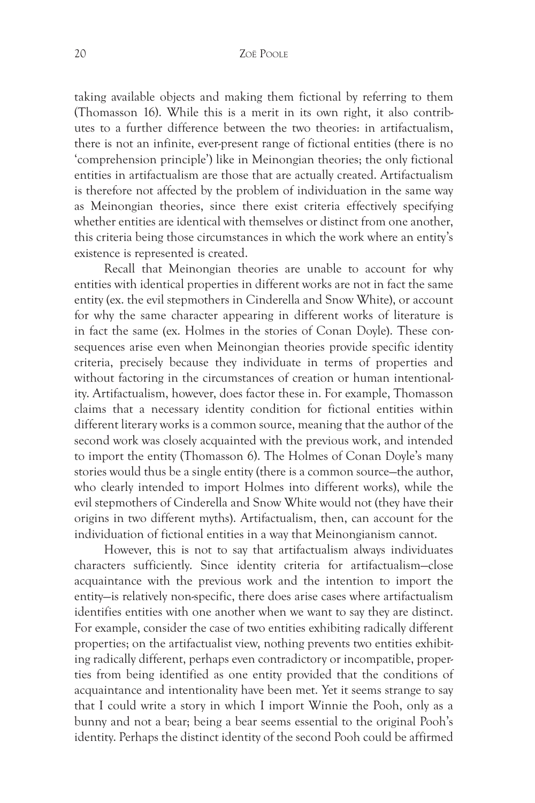taking available objects and making them fictional by referring to them (Thomasson 16). While this is a merit in its own right, it also contributes to a further difference between the two theories: in artifactualism, there is not an infinite, ever-present range of fictional entities (there is no 'comprehension principle') like in Meinongian theories; the only fictional entities in artifactualism are those that are actually created. Artifactualism is therefore not affected by the problem of individuation in the same way as Meinongian theories, since there exist criteria effectively specifying whether entities are identical with themselves or distinct from one another, this criteria being those circumstances in which the work where an entity's existence is represented is created.

Recall that Meinongian theories are unable to account for why entities with identical properties in different works are not in fact the same entity (ex. the evil stepmothers in Cinderella and Snow White), or account for why the same character appearing in different works of literature is in fact the same (ex. Holmes in the stories of Conan Doyle). These consequences arise even when Meinongian theories provide specific identity criteria, precisely because they individuate in terms of properties and without factoring in the circumstances of creation or human intentionality. Artifactualism, however, does factor these in. For example, Thomasson claims that a necessary identity condition for fictional entities within different literary works is a common source, meaning that the author of the second work was closely acquainted with the previous work, and intended to import the entity (Thomasson 6). The Holmes of Conan Doyle's many stories would thus be a single entity (there is a common source—the author, who clearly intended to import Holmes into different works), while the evil stepmothers of Cinderella and Snow White would not (they have their origins in two different myths). Artifactualism, then, can account for the individuation of fictional entities in a way that Meinongianism cannot.

However, this is not to say that artifactualism always individuates characters sufficiently. Since identity criteria for artifactualism—close acquaintance with the previous work and the intention to import the entity—is relatively non-specific, there does arise cases where artifactualism identifies entities with one another when we want to say they are distinct. For example, consider the case of two entities exhibiting radically different properties; on the artifactualist view, nothing prevents two entities exhibiting radically different, perhaps even contradictory or incompatible, properties from being identified as one entity provided that the conditions of acquaintance and intentionality have been met. Yet it seems strange to say that I could write a story in which I import Winnie the Pooh, only as a bunny and not a bear; being a bear seems essential to the original Pooh's identity. Perhaps the distinct identity of the second Pooh could be affirmed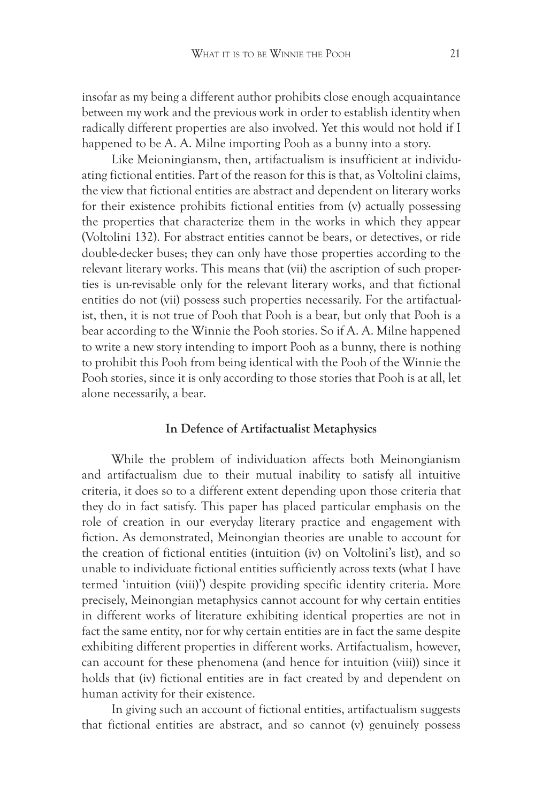insofar as my being a different author prohibits close enough acquaintance between my work and the previous work in order to establish identity when radically different properties are also involved. Yet this would not hold if I happened to be A. A. Milne importing Pooh as a bunny into a story.

Like Meioningiansm, then, artifactualism is insufficient at individuating fictional entities. Part of the reason for this is that, as Voltolini claims, the view that fictional entities are abstract and dependent on literary works for their existence prohibits fictional entities from (v) actually possessing the properties that characterize them in the works in which they appear (Voltolini 132). For abstract entities cannot be bears, or detectives, or ride double-decker buses; they can only have those properties according to the relevant literary works. This means that (vii) the ascription of such properties is un-revisable only for the relevant literary works, and that fictional entities do not (vii) possess such properties necessarily. For the artifactualist, then, it is not true of Pooh that Pooh is a bear, but only that Pooh is a bear according to the Winnie the Pooh stories. So if A. A. Milne happened to write a new story intending to import Pooh as a bunny, there is nothing to prohibit this Pooh from being identical with the Pooh of the Winnie the Pooh stories, since it is only according to those stories that Pooh is at all, let alone necessarily, a bear.

#### **In Defence of Artifactualist Metaphysics**

While the problem of individuation affects both Meinongianism and artifactualism due to their mutual inability to satisfy all intuitive criteria, it does so to a different extent depending upon those criteria that they do in fact satisfy. This paper has placed particular emphasis on the role of creation in our everyday literary practice and engagement with fiction. As demonstrated, Meinongian theories are unable to account for the creation of fictional entities (intuition (iv) on Voltolini's list), and so unable to individuate fictional entities sufficiently across texts (what I have termed 'intuition (viii)') despite providing specific identity criteria. More precisely, Meinongian metaphysics cannot account for why certain entities in different works of literature exhibiting identical properties are not in fact the same entity, nor for why certain entities are in fact the same despite exhibiting different properties in different works. Artifactualism, however, can account for these phenomena (and hence for intuition (viii)) since it holds that (iv) fictional entities are in fact created by and dependent on human activity for their existence.

In giving such an account of fictional entities, artifactualism suggests that fictional entities are abstract, and so cannot (v) genuinely possess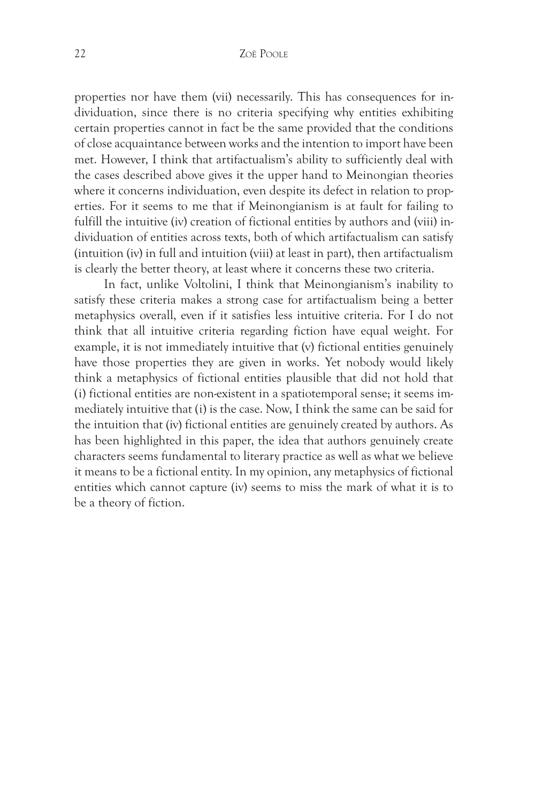properties nor have them (vii) necessarily. This has consequences for individuation, since there is no criteria specifying why entities exhibiting certain properties cannot in fact be the same provided that the conditions of close acquaintance between works and the intention to import have been met. However, I think that artifactualism's ability to sufficiently deal with the cases described above gives it the upper hand to Meinongian theories where it concerns individuation, even despite its defect in relation to properties. For it seems to me that if Meinongianism is at fault for failing to fulfill the intuitive (iv) creation of fictional entities by authors and (viii) individuation of entities across texts, both of which artifactualism can satisfy (intuition (iv) in full and intuition (viii) at least in part), then artifactualism is clearly the better theory, at least where it concerns these two criteria.

In fact, unlike Voltolini, I think that Meinongianism's inability to satisfy these criteria makes a strong case for artifactualism being a better metaphysics overall, even if it satisfies less intuitive criteria. For I do not think that all intuitive criteria regarding fiction have equal weight. For example, it is not immediately intuitive that (v) fictional entities genuinely have those properties they are given in works. Yet nobody would likely think a metaphysics of fictional entities plausible that did not hold that (i) fictional entities are non-existent in a spatiotemporal sense; it seems immediately intuitive that (i) is the case. Now, I think the same can be said for the intuition that (iv) fictional entities are genuinely created by authors. As has been highlighted in this paper, the idea that authors genuinely create characters seems fundamental to literary practice as well as what we believe it means to be a fictional entity. In my opinion, any metaphysics of fictional entities which cannot capture (iv) seems to miss the mark of what it is to be a theory of fiction.